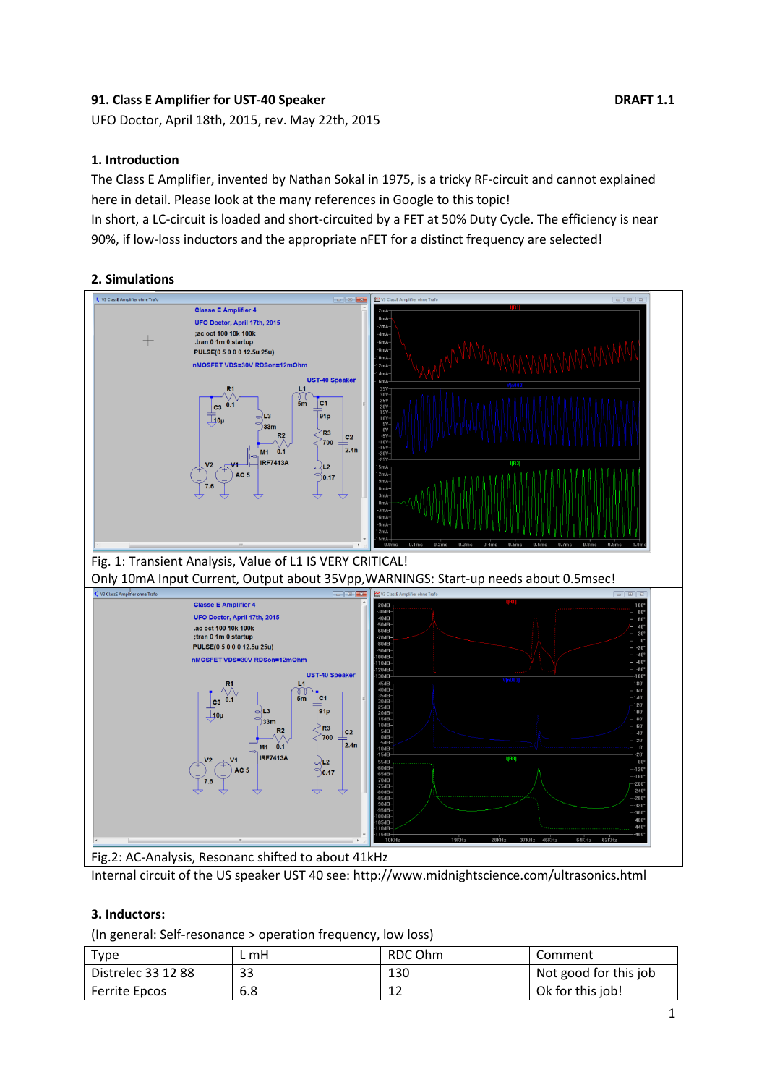## **91. Class E Amplifier for UST-40 Speaker DRAFT 1.1**

UFO Doctor, April 18th, 2015, rev. May 22th, 2015

#### **1. Introduction**

The Class E Amplifier, invented by Nathan Sokal in 1975, is a tricky RF-circuit and cannot explained here in detail. Please look at the many references in Google to this topic!

In short, a LC-circuit is loaded and short-circuited by a FET at 50% Duty Cycle. The efficiency is near 90%, if low-loss inductors and the appropriate nFET for a distinct frequency are selected!

### **2. Simulations**



Internal circuit of the US speaker UST 40 see: http://www.midnightscience.com/ultrasonics.html

#### **3. Inductors:**

(In general: Self-resonance > operation frequency, low loss)

| <b>Type</b>        | . mH | RDC Ohm | Comment               |
|--------------------|------|---------|-----------------------|
| Distrelec 33 12 88 | 33   | 130     | Not good for this job |
| Ferrite Epcos      | 6.8  | ∸∸      | Ok for this job!      |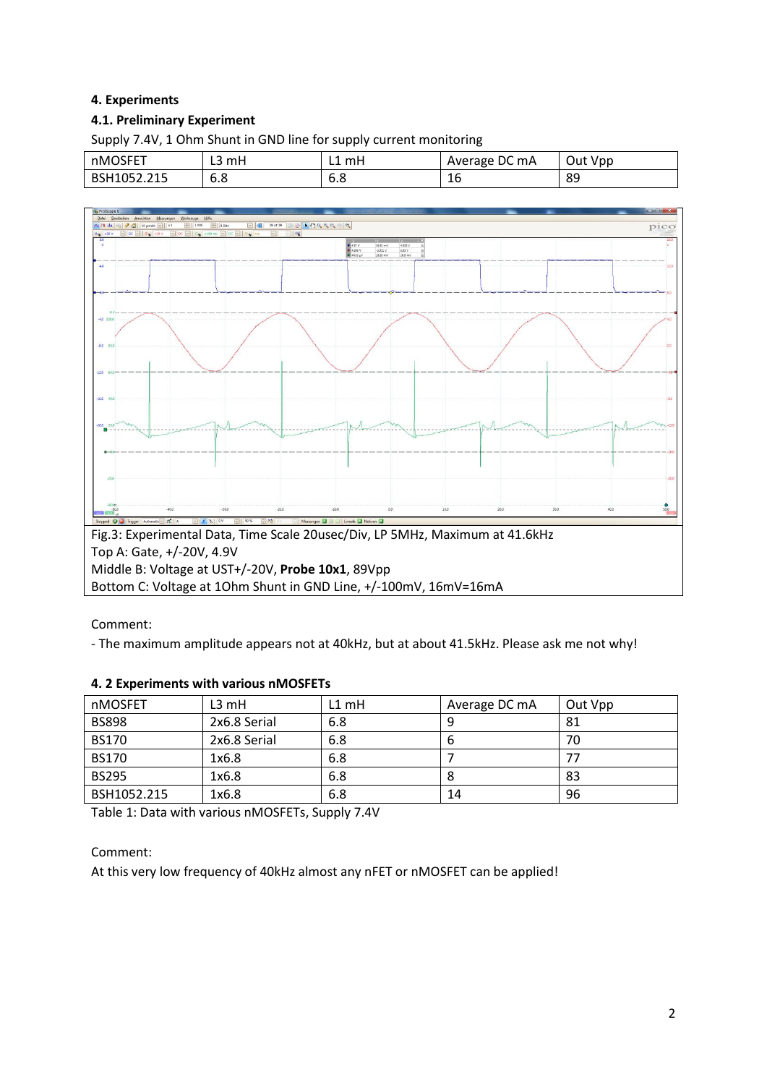## **4. Experiments**

### **4.1. Preliminary Experiment**

Supply 7.4V, 1 Ohm Shunt in GND line for supply current monitoring

| nMOSFET     | mH<br>◡  | . mH<br>노         | Average DC mA   | Out Vpp |
|-------------|----------|-------------------|-----------------|---------|
| BSH1052.215 | റ<br>ხ.გ | $\sqrt{2}$<br>o.o | $\epsilon$<br>ᆚ | 89      |



Comment:

- The maximum amplitude appears not at 40kHz, but at about 41.5kHz. Please ask me not why!

#### **4. 2 Experiments with various nMOSFETs**

| nMOSFET      | $L3$ mH      | $L1$ mH | Average DC mA | Out Vpp |
|--------------|--------------|---------|---------------|---------|
| <b>BS898</b> | 2x6.8 Serial | 6.8     |               | 81      |
| <b>BS170</b> | 2x6.8 Serial | 6.8     | b             | 70      |
| <b>BS170</b> | 1x6.8        | 6.8     |               |         |
| <b>BS295</b> | 1x6.8        | 6.8     | Ō             | 83      |
| BSH1052.215  | 1x6.8        | 6.8     | 14            | 96      |

Table 1: Data with various nMOSFETs, Supply 7.4V

Comment:

At this very low frequency of 40kHz almost any nFET or nMOSFET can be applied!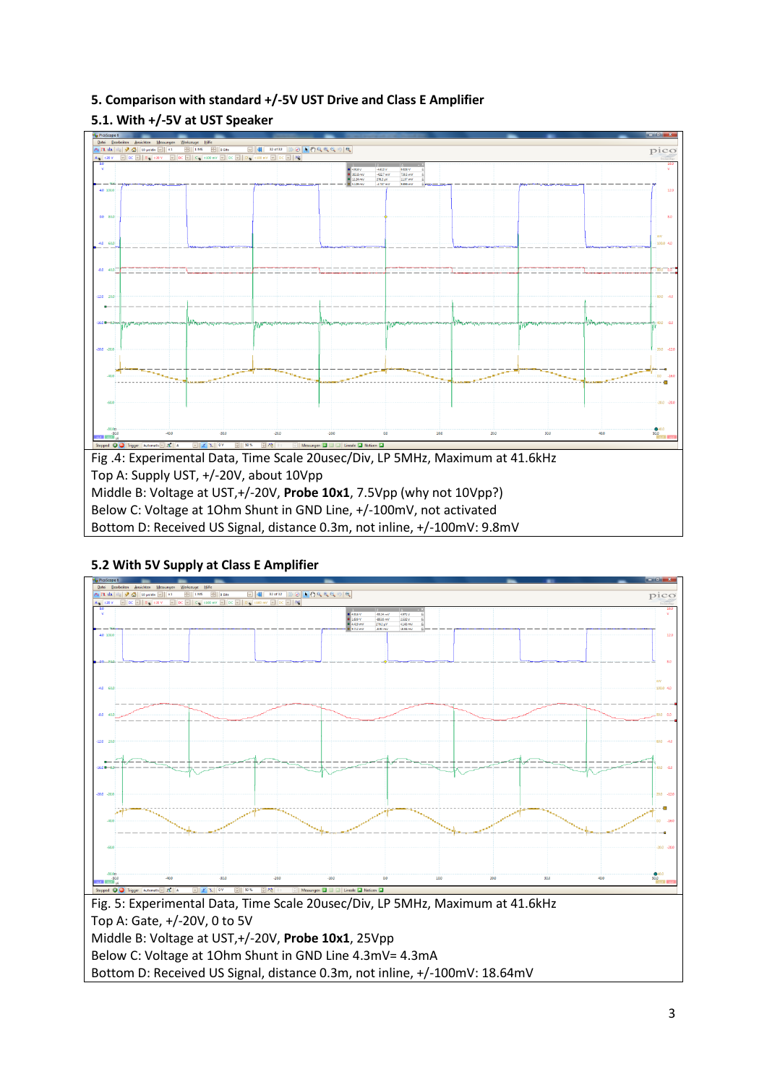# **5. Comparison with standard +/-5V UST Drive and Class E Amplifier**

# **5.1. With +/-5V at UST Speaker**



Bottom D: Received US Signal, distance 0.3m, not inline, +/-100mV: 9.8mV